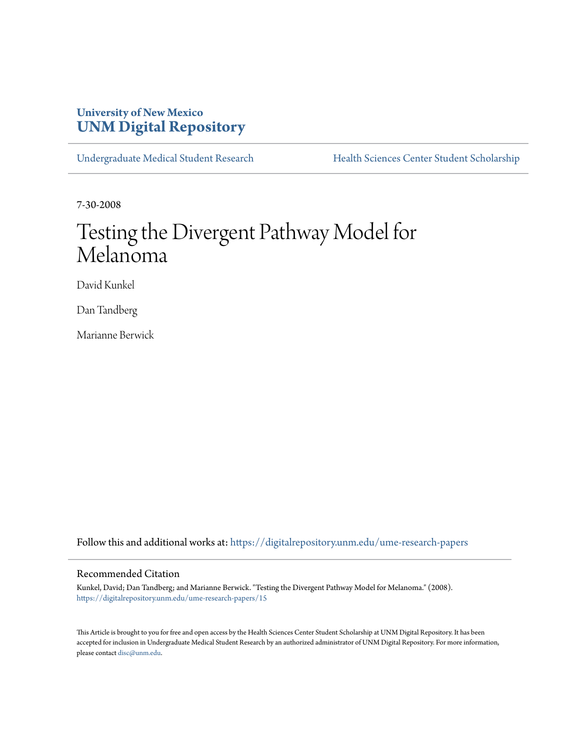# **University of New Mexico [UNM Digital Repository](https://digitalrepository.unm.edu?utm_source=digitalrepository.unm.edu%2Fume-research-papers%2F15&utm_medium=PDF&utm_campaign=PDFCoverPages)**

[Undergraduate Medical Student Research](https://digitalrepository.unm.edu/ume-research-papers?utm_source=digitalrepository.unm.edu%2Fume-research-papers%2F15&utm_medium=PDF&utm_campaign=PDFCoverPages) [Health Sciences Center Student Scholarship](https://digitalrepository.unm.edu/hsc-students?utm_source=digitalrepository.unm.edu%2Fume-research-papers%2F15&utm_medium=PDF&utm_campaign=PDFCoverPages)

7-30-2008

# Testing the Divergent Pathway Model for Melanoma

David Kunkel

Dan Tandberg

Marianne Berwick

Follow this and additional works at: [https://digitalrepository.unm.edu/ume-research-papers](https://digitalrepository.unm.edu/ume-research-papers?utm_source=digitalrepository.unm.edu%2Fume-research-papers%2F15&utm_medium=PDF&utm_campaign=PDFCoverPages)

#### Recommended Citation

Kunkel, David; Dan Tandberg; and Marianne Berwick. "Testing the Divergent Pathway Model for Melanoma." (2008). [https://digitalrepository.unm.edu/ume-research-papers/15](https://digitalrepository.unm.edu/ume-research-papers/15?utm_source=digitalrepository.unm.edu%2Fume-research-papers%2F15&utm_medium=PDF&utm_campaign=PDFCoverPages)

This Article is brought to you for free and open access by the Health Sciences Center Student Scholarship at UNM Digital Repository. It has been accepted for inclusion in Undergraduate Medical Student Research by an authorized administrator of UNM Digital Repository. For more information, please contact [disc@unm.edu.](mailto:disc@unm.edu)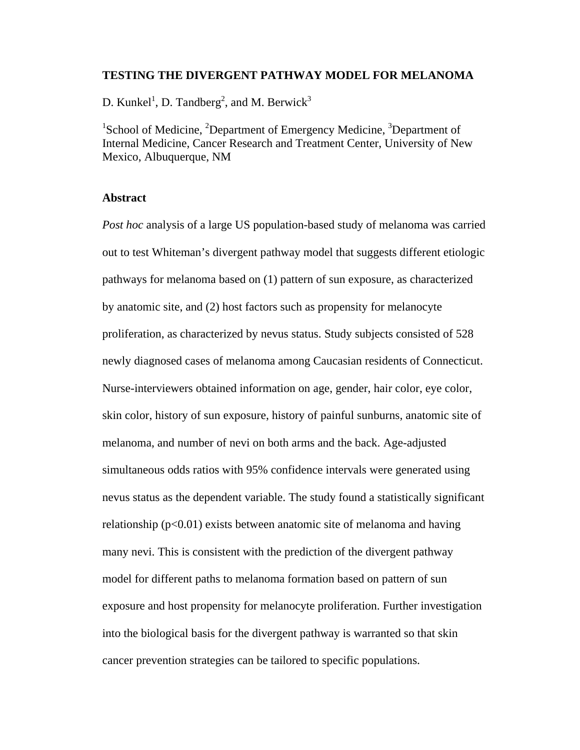### **TESTING THE DIVERGENT PATHWAY MODEL FOR MELANOMA**

D. Kunkel<sup>1</sup>, D. Tandberg<sup>2</sup>, and M. Berwick<sup>3</sup>

<sup>1</sup>School of Medicine, <sup>2</sup>Department of Emergency Medicine, <sup>3</sup>Department of Internal Medicine, Cancer Research and Treatment Center, University of New Mexico, Albuquerque, NM

#### **Abstract**

*Post hoc* analysis of a large US population-based study of melanoma was carried out to test Whiteman's divergent pathway model that suggests different etiologic pathways for melanoma based on (1) pattern of sun exposure, as characterized by anatomic site, and (2) host factors such as propensity for melanocyte proliferation, as characterized by nevus status. Study subjects consisted of 528 newly diagnosed cases of melanoma among Caucasian residents of Connecticut. Nurse-interviewers obtained information on age, gender, hair color, eye color, skin color, history of sun exposure, history of painful sunburns, anatomic site of melanoma, and number of nevi on both arms and the back. Age-adjusted simultaneous odds ratios with 95% confidence intervals were generated using nevus status as the dependent variable. The study found a statistically significant relationship ( $p<0.01$ ) exists between anatomic site of melanoma and having many nevi. This is consistent with the prediction of the divergent pathway model for different paths to melanoma formation based on pattern of sun exposure and host propensity for melanocyte proliferation. Further investigation into the biological basis for the divergent pathway is warranted so that skin cancer prevention strategies can be tailored to specific populations.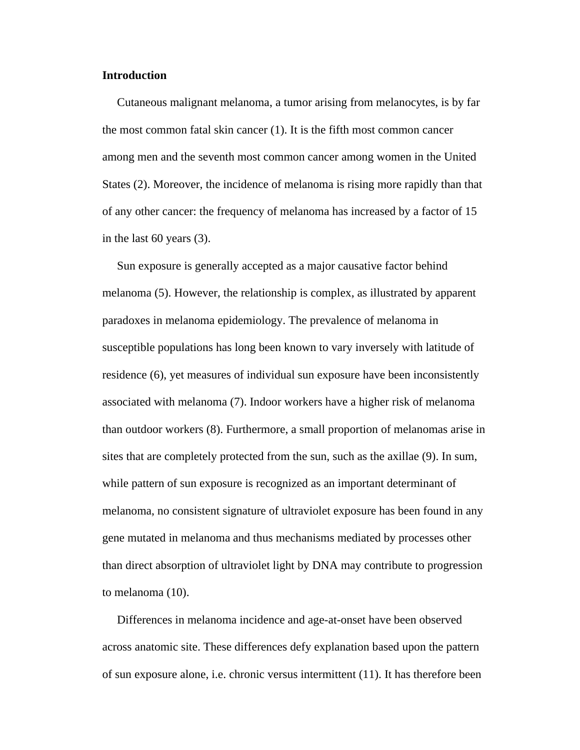#### **Introduction**

 Cutaneous malignant melanoma, a tumor arising from melanocytes, is by far the most common fatal skin cancer (1). It is the fifth most common cancer among men and the seventh most common cancer among women in the United States (2). Moreover, the incidence of melanoma is rising more rapidly than that of any other cancer: the frequency of melanoma has increased by a factor of 15 in the last 60 years (3).

 Sun exposure is generally accepted as a major causative factor behind melanoma (5). However, the relationship is complex, as illustrated by apparent paradoxes in melanoma epidemiology. The prevalence of melanoma in susceptible populations has long been known to vary inversely with latitude of residence (6), yet measures of individual sun exposure have been inconsistently associated with melanoma (7). Indoor workers have a higher risk of melanoma than outdoor workers (8). Furthermore, a small proportion of melanomas arise in sites that are completely protected from the sun, such as the axillae (9). In sum, while pattern of sun exposure is recognized as an important determinant of melanoma, no consistent signature of ultraviolet exposure has been found in any gene mutated in melanoma and thus mechanisms mediated by processes other than direct absorption of ultraviolet light by DNA may contribute to progression to melanoma (10).

 Differences in melanoma incidence and age-at-onset have been observed across anatomic site. These differences defy explanation based upon the pattern of sun exposure alone, i.e. chronic versus intermittent (11). It has therefore been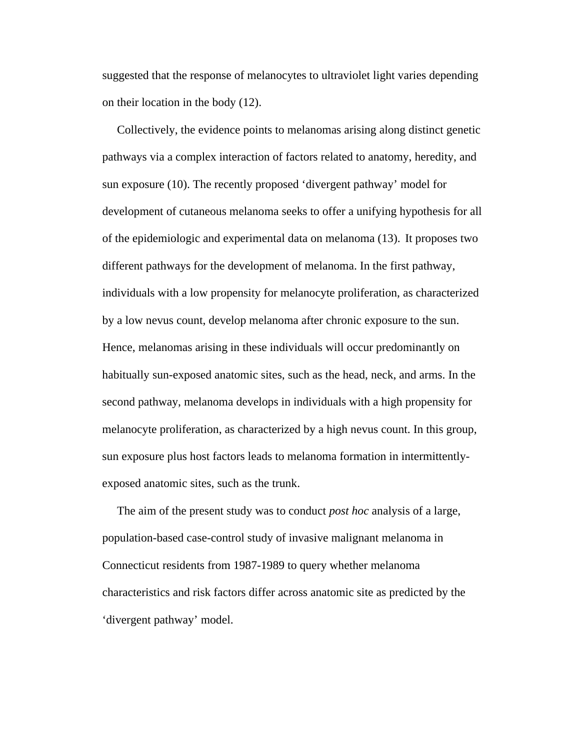suggested that the response of melanocytes to ultraviolet light varies depending on their location in the body (12).

 Collectively, the evidence points to melanomas arising along distinct genetic pathways via a complex interaction of factors related to anatomy, heredity, and sun exposure (10). The recently proposed 'divergent pathway' model for development of cutaneous melanoma seeks to offer a unifying hypothesis for all of the epidemiologic and experimental data on melanoma (13). It proposes two different pathways for the development of melanoma. In the first pathway, individuals with a low propensity for melanocyte proliferation, as characterized by a low nevus count, develop melanoma after chronic exposure to the sun. Hence, melanomas arising in these individuals will occur predominantly on habitually sun-exposed anatomic sites, such as the head, neck, and arms. In the second pathway, melanoma develops in individuals with a high propensity for melanocyte proliferation, as characterized by a high nevus count. In this group, sun exposure plus host factors leads to melanoma formation in intermittentlyexposed anatomic sites, such as the trunk.

 The aim of the present study was to conduct *post hoc* analysis of a large, population-based case-control study of invasive malignant melanoma in Connecticut residents from 1987-1989 to query whether melanoma characteristics and risk factors differ across anatomic site as predicted by the 'divergent pathway' model.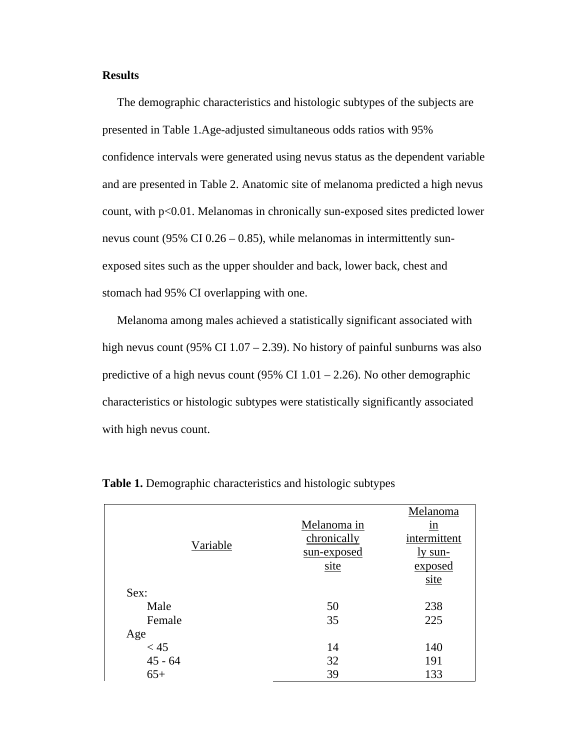#### **Results**

 The demographic characteristics and histologic subtypes of the subjects are presented in Table 1.Age-adjusted simultaneous odds ratios with 95% confidence intervals were generated using nevus status as the dependent variable and are presented in Table 2. Anatomic site of melanoma predicted a high nevus count, with p<0.01. Melanomas in chronically sun-exposed sites predicted lower nevus count (95% CI 0.26 – 0.85), while melanomas in intermittently sunexposed sites such as the upper shoulder and back, lower back, chest and stomach had 95% CI overlapping with one.

 Melanoma among males achieved a statistically significant associated with high nevus count (95% CI 1.07 – 2.39). No history of painful sunburns was also predictive of a high nevus count (95% CI  $1.01 - 2.26$ ). No other demographic characteristics or histologic subtypes were statistically significantly associated with high nevus count.

|           |             | Melanoma     |  |
|-----------|-------------|--------------|--|
|           | Melanoma in | 1n           |  |
| Variable  | chronically | intermittent |  |
|           | sun-exposed | ly sun-      |  |
|           | site        | exposed      |  |
|           |             | site         |  |
| Sex:      |             |              |  |
| Male      | 50          | 238          |  |
| Female    | 35          | 225          |  |
| Age       |             |              |  |
| < 45      | 14          | 140          |  |
| $45 - 64$ | 32          | 191          |  |
| $65+$     | 39          | 133          |  |

**Table 1.** Demographic characteristics and histologic subtypes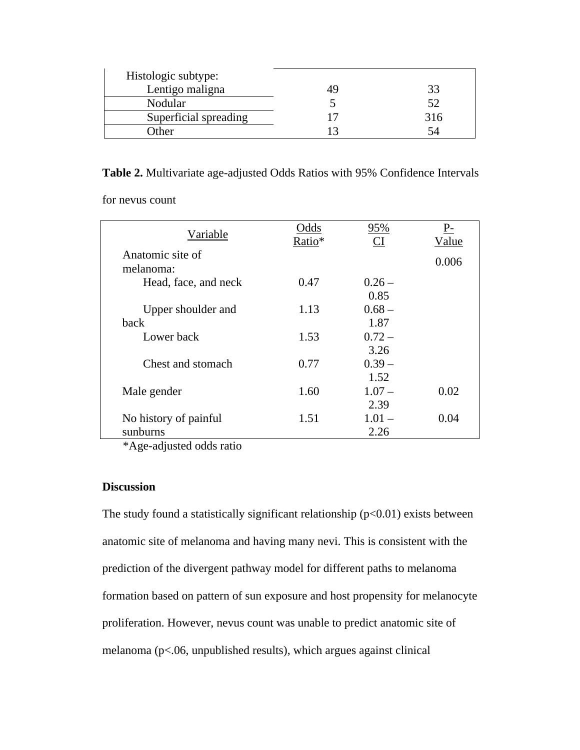| Histologic subtype:   |     |
|-----------------------|-----|
| Lentigo maligna       |     |
| Nodular               | 52  |
| Superficial spreading | 316 |
| <b>)</b> ther         |     |

**Table 2.** Multivariate age-adjusted Odds Ratios with 95% Confidence Intervals

for nevus count

| Variable              | Odds<br>Ratio* | 95%<br>CI | $P-$<br>Value |
|-----------------------|----------------|-----------|---------------|
| Anatomic site of      |                |           | 0.006         |
| melanoma:             |                |           |               |
| Head, face, and neck  | 0.47           | $0.26 -$  |               |
|                       |                | 0.85      |               |
| Upper shoulder and    | 1.13           | $0.68 -$  |               |
| back                  |                | 1.87      |               |
| Lower back            | 1.53           | $0.72 -$  |               |
|                       |                | 3.26      |               |
| Chest and stomach     | 0.77           | $0.39 -$  |               |
|                       |                | 1.52      |               |
| Male gender           | 1.60           | $1.07 -$  | 0.02          |
|                       |                | 2.39      |               |
| No history of painful | 1.51           | $1.01 -$  | 0.04          |
| sunburns              |                | 2.26      |               |

\*Age-adjusted odds ratio

# **Discussion**

The study found a statistically significant relationship  $(p<0.01)$  exists between anatomic site of melanoma and having many nevi. This is consistent with the prediction of the divergent pathway model for different paths to melanoma formation based on pattern of sun exposure and host propensity for melanocyte proliferation. However, nevus count was unable to predict anatomic site of melanoma (p<.06, unpublished results), which argues against clinical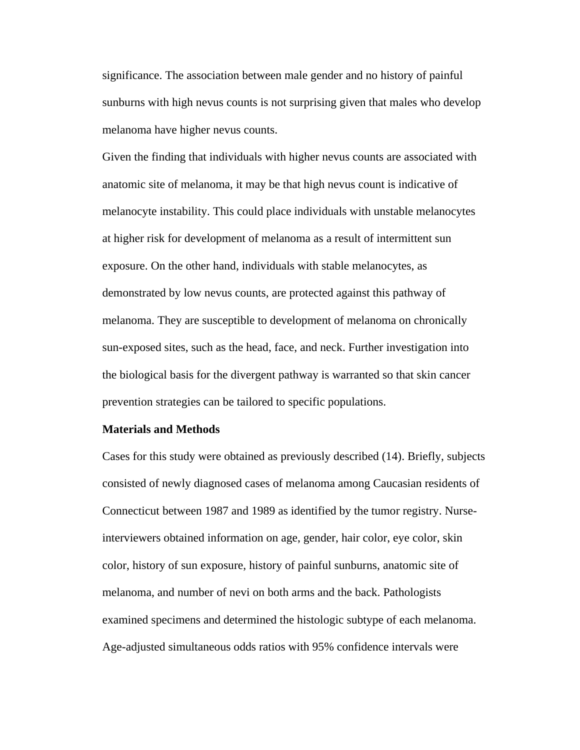significance. The association between male gender and no history of painful sunburns with high nevus counts is not surprising given that males who develop melanoma have higher nevus counts.

Given the finding that individuals with higher nevus counts are associated with anatomic site of melanoma, it may be that high nevus count is indicative of melanocyte instability. This could place individuals with unstable melanocytes at higher risk for development of melanoma as a result of intermittent sun exposure. On the other hand, individuals with stable melanocytes, as demonstrated by low nevus counts, are protected against this pathway of melanoma. They are susceptible to development of melanoma on chronically sun-exposed sites, such as the head, face, and neck. Further investigation into the biological basis for the divergent pathway is warranted so that skin cancer prevention strategies can be tailored to specific populations.

#### **Materials and Methods**

Cases for this study were obtained as previously described (14). Briefly, subjects consisted of newly diagnosed cases of melanoma among Caucasian residents of Connecticut between 1987 and 1989 as identified by the tumor registry. Nurseinterviewers obtained information on age, gender, hair color, eye color, skin color, history of sun exposure, history of painful sunburns, anatomic site of melanoma, and number of nevi on both arms and the back. Pathologists examined specimens and determined the histologic subtype of each melanoma. Age-adjusted simultaneous odds ratios with 95% confidence intervals were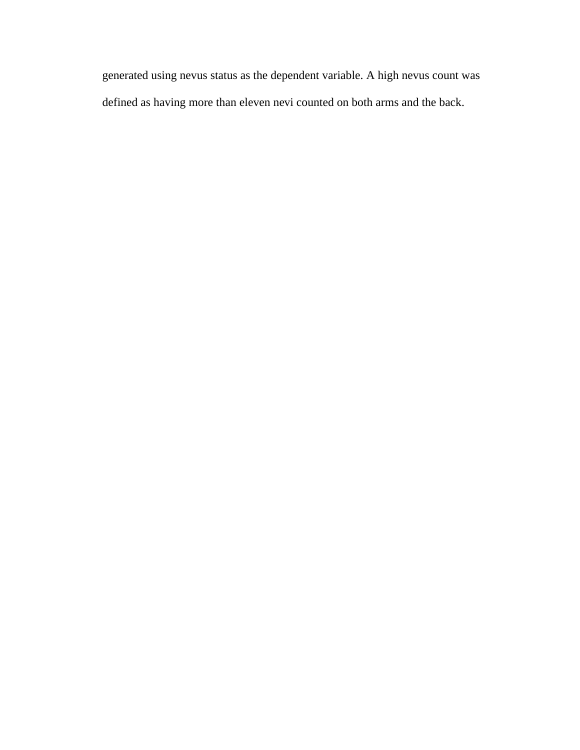generated using nevus status as the dependent variable. A high nevus count was defined as having more than eleven nevi counted on both arms and the back.